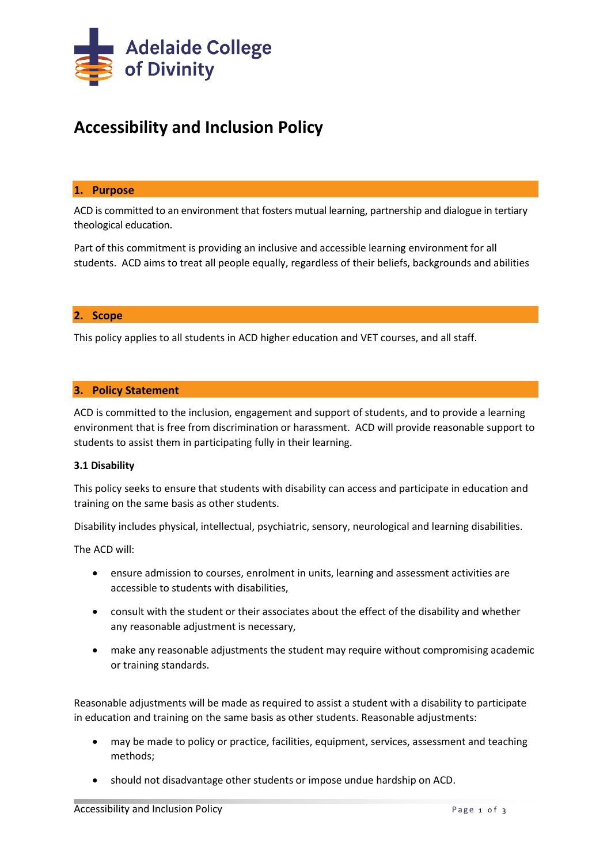

# **Accessibility and Inclusion Policy**

#### **1. Purpose**

ACD is committed to an environment that fosters mutual learning, partnership and dialogue in tertiary theological education.

Part of this commitment is providing an inclusive and accessible learning environment for all students. ACD aims to treat all people equally, regardless of their beliefs, backgrounds and abilities

# **2. Scope**

This policy applies to all students in ACD higher education and VET courses, and all staff.

#### **3. Policy Statement**

ACD is committed to the inclusion, engagement and support of students, and to provide a learning environment that is free from discrimination or harassment. ACD will provide reasonable support to students to assist them in participating fully in their learning.

#### **3.1 Disability**

This policy seeks to ensure that students with disability can access and participate in education and training on the same basis as other students.

Disability includes physical, intellectual, psychiatric, sensory, neurological and learning disabilities.

The ACD will:

- ensure admission to courses, enrolment in units, learning and assessment activities are accessible to students with disabilities,
- consult with the student or their associates about the effect of the disability and whether any reasonable adjustment is necessary,
- make any reasonable adjustments the student may require without compromising academic or training standards.

Reasonable adjustments will be made as required to assist a student with a disability to participate in education and training on the same basis as other students. Reasonable adjustments:

- may be made to policy or practice, facilities, equipment, services, assessment and teaching methods;
- should not disadvantage other students or impose undue hardship on ACD.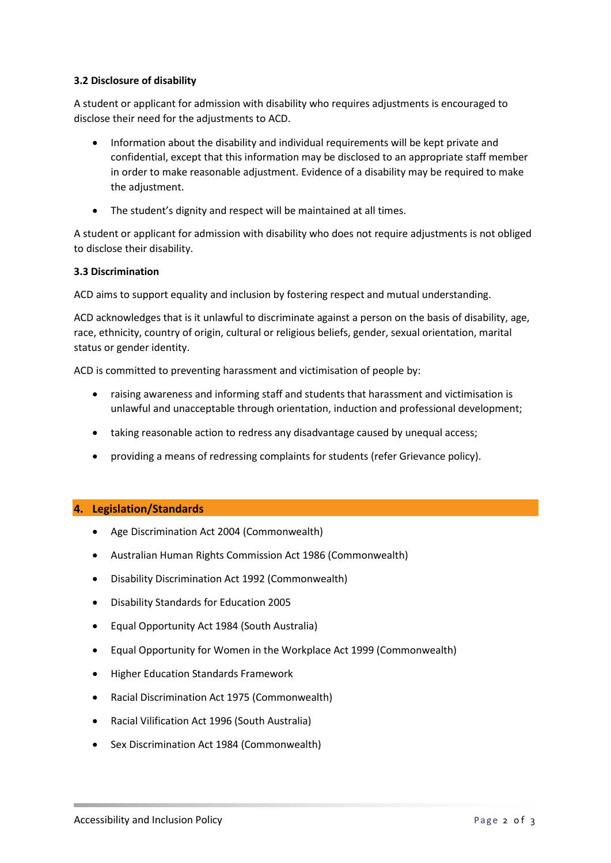# **3.2 Disclosure of disability**

A student or applicant for admission with disability who requires adjustments is encouraged to disclose their need for the adjustments to ACD.

- Information about the disability and individual requirements will be kept private and confidential, except that this information may be disclosed to an appropriate staff member in order to make reasonable adjustment. Evidence of a disability may be required to make the adjustment.
- The student's dignity and respect will be maintained at all times.

A student or applicant for admission with disability who does not require adjustments is not obliged to disclose their disability.

# **3.3 Discrimination**

ACD aims to support equality and inclusion by fostering respect and mutual understanding.

ACD acknowledges that is it unlawful to discriminate against a person on the basis of disability, age, race, ethnicity, country of origin, cultural or religious beliefs, gender, sexual orientation, marital status or gender identity.

ACD is committed to preventing harassment and victimisation of people by:

- raising awareness and informing staff and students that harassment and victimisation is unlawful and unacceptable through orientation, induction and professional development;
- taking reasonable action to redress any disadvantage caused by unequal access;
- providing a means of redressing complaints for students (refer Grievance policy).

#### **4. Legislation/Standards**

- Age Discrimination Act 2004 (Commonwealth)
- Australian Human Rights Commission Act 1986 (Commonwealth)
- Disability Discrimination Act 1992 (Commonwealth)
- Disability Standards for Education 2005
- Equal Opportunity Act 1984 (South Australia)
- Equal Opportunity for Women in the Workplace Act 1999 (Commonwealth)
- Higher Education Standards Framework
- Racial Discrimination Act 1975 (Commonwealth)
- Racial Vilification Act 1996 (South Australia)
- Sex Discrimination Act 1984 (Commonwealth)